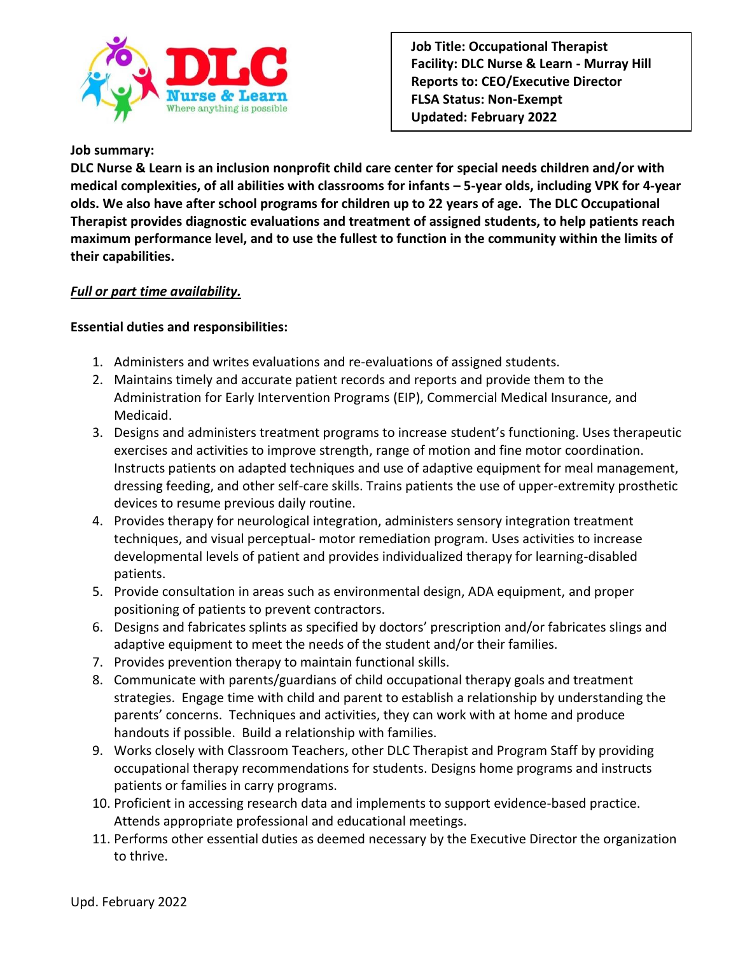

#### **Job summary:**

**DLC Nurse & Learn is an inclusion nonprofit child care center for special needs children and/or with medical complexities, of all abilities with classrooms for infants – 5-year olds, including VPK for 4-year olds. We also have after school programs for children up to 22 years of age. The DLC Occupational Therapist provides diagnostic evaluations and treatment of assigned students, to help patients reach maximum performance level, and to use the fullest to function in the community within the limits of their capabilities.** 

## *Full or part time availability.*

### **Essential duties and responsibilities:**

- 1. Administers and writes evaluations and re-evaluations of assigned students.
- 2. Maintains timely and accurate patient records and reports and provide them to the Administration for Early Intervention Programs (EIP), Commercial Medical Insurance, and Medicaid.
- 3. Designs and administers treatment programs to increase student's functioning. Uses therapeutic exercises and activities to improve strength, range of motion and fine motor coordination. Instructs patients on adapted techniques and use of adaptive equipment for meal management, dressing feeding, and other self-care skills. Trains patients the use of upper-extremity prosthetic devices to resume previous daily routine.
- 4. Provides therapy for neurological integration, administers sensory integration treatment techniques, and visual perceptual- motor remediation program. Uses activities to increase developmental levels of patient and provides individualized therapy for learning-disabled patients.
- 5. Provide consultation in areas such as environmental design, ADA equipment, and proper positioning of patients to prevent contractors.
- 6. Designs and fabricates splints as specified by doctors' prescription and/or fabricates slings and adaptive equipment to meet the needs of the student and/or their families.
- 7. Provides prevention therapy to maintain functional skills.
- 8. Communicate with parents/guardians of child occupational therapy goals and treatment strategies. Engage time with child and parent to establish a relationship by understanding the parents' concerns. Techniques and activities, they can work with at home and produce handouts if possible. Build a relationship with families.
- 9. Works closely with Classroom Teachers, other DLC Therapist and Program Staff by providing occupational therapy recommendations for students. Designs home programs and instructs patients or families in carry programs.
- 10. Proficient in accessing research data and implements to support evidence-based practice. Attends appropriate professional and educational meetings.
- 11. Performs other essential duties as deemed necessary by the Executive Director the organization to thrive.